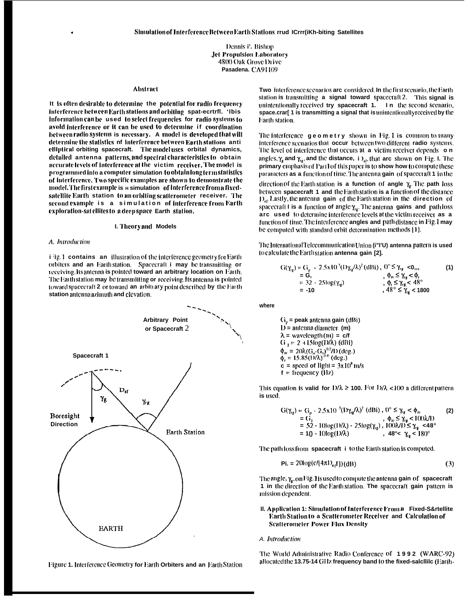Dennis i'. Bishop **Jet Propulsion Laboratory** 4800 Oak Grove Drive Pasadena. CA91109

#### **Abstract**

It is often desirable to determine the potential for radio frequency interference between Earth stations and orbiting spat-ecrtrfl. 'Ibis information can be used to select frequencies for radio systems to avoid interference or it can be used to determine if coordination between radio systems is necessary. A model is developed that will determine the statistics of interference between Earth stations anti elliptical orbiting spacecraft. The modeluses orbital dynamics, detailed antenna patterns, and spectral characteristics to obtain accurate levels of interference at the victim receiver. The model is programmed into a computer simulation to obtain long term statistics of interference. Two specific examples are shown to demonstrate the model. The first example is a simulation of interference from a fixedsatellite Earth station to an orbiting scatterometer receiver. The second example is a simulation of interference from Earth exploration-satellites to a deep space Earth station.

#### I. Theory and Models

#### A. Introduction

*i* <sup>i</sup>g.1 contains an illustration of the interference geometry for Earth orbiters and an Earthstation. Spacecraft i may be transmitting or receiving lis amenna is pointed toward an arbitrary location on Earth. The Earth station may be transmitting or receiving. Its antenna is pointed toward spacecraft 2 or toward an arbitrary point described by the Earth station antenna azimuth and elevation.



Figure 1. Interference Geometry for Earth Orbiters and an Earth Station

Two interference scenarios arc considered. In the first scenario, the Earth station is transmitting a signal toward spacecraft2. This signal is unintentionally received try spacecraft 1. In the second scenario, space.crar[ 1 is transmitting a signal that is unintentionally received by the Earth station.

The interference geometry shown in Fig. 1 is common to many interference scenarios that occur between two different radio systems. The level of interference that occurs at a victim receiver depends on angles,  $\gamma_{\rm g}$  and  $\gamma_{\rm g}$ , and the distance, i  $\Sigma_{\rm g}$ , that arc shown on Fig. I. The primary emphasis of Part1 of this paper is to show how to compute these parameters as a function of time. The antenna gain of spacecraft 1 in the direction of the Earth station is a function of angle  $\gamma_e$ . The path loss between spacecraft 1 and the Earthstation is a function of the distance

 $D_{st}$ . Lastly, the antenna gain of the Earth station in the direction of spacecraft I is a function of angle  $\gamma_{rg}$ . The antenna gains and pathloss arc used to determine interference levels at the victim receiver as a function of time. The interference angles and path distance in Fig. 1 may be computed with standard orbit determination methods [1].

The International Telecommunication Union (i"I'U) antenna pattern is used to calculate the Earthstation antenna gain [2].

$$
G(\gamma_{1g}) = G_{1} - 2.5 \times 10^{-3} (1) \gamma_{1g} / \lambda)^{2} (dBi), \ 0^{\circ} \leq \gamma_{1g} < 0, \ 0, \quad \beta_{1g} \leq \gamma_{1g} < \phi, \quad \beta_{2g} \leq 2.5 \log(\gamma_{1g}) \quad , \ \phi_{1g} \leq \gamma_{1g} < 48^{\circ} \quad , \ \phi_{1g} \leq \gamma_{1g} < 48^{\circ} \quad , \ \beta_{1g} \leq \gamma_{1g} < 1800
$$

where

 $G<sub>o</sub>$  = peak antenna gain (dBi)  $D =$  antenna diameter (m)  $\lambda$  = wavelength (m) = c/f  $G_1 = 2 + 15 \log(D/\lambda)$  (dBi)  $\phi_m = 20\lambda (G_n - G_1)^{1/2}/D$  (deg.)<br>  $\phi_r = 15.85 (D/\lambda)^{0.6}$  (deg.)  $c = speed of light =  $3x10^8$  m/s$  $f = frequency (Hz)$ 

This equation is valid for  $D/\lambda \ge 100$ . For  $D/\lambda < 100$  a different pattern is used.

$$
G(\gamma_{1R}) = G_p - 2.5 \times 10^{-3} (D\gamma_{1R}/\lambda)^2 (dBi) , 0^{\circ} \le \gamma_{1R} < \phi_m
$$
 (2)  
= G<sub>1</sub> ,  $\phi_m \le \gamma_{1R} < 1(0)\lambda/1$   
= 52 - 10log(D/\lambda) - 25log(\gamma\_{1R}) , 100\lambda/1) \le \gamma\_{1R} < 48^{\circ}  
= 10 - 10log(D/\lambda) , 48^{\circ} < \gamma\_{1R} < 180^{\circ}

The path loss from spacecraft i to the Earth station is computed.

$$
\mathbf{Pi} = 20\log(c/(4\pi\mathbf{I})_{\epsilon}f)(dB)
$$
 (3)

The angle,  $\gamma_e$ , on Fig. 1 is used to compute the antenna gain of spacecraft 1 in the direction of the Earth station. The spacecraft gain pattern is mission dependent.

II. Application 1: Simulation of Interference From a Fixed-S&rtellite Earth Station to a Scatterometer Receiver and Calculation of **Scatterometer Power Flux Density** 

## A. Introduction

The World Administrative Radio Conference of 1992 (WARC-92) allocated the 13.75-14 GHz frequency band to the fixed-salcillic (Earth-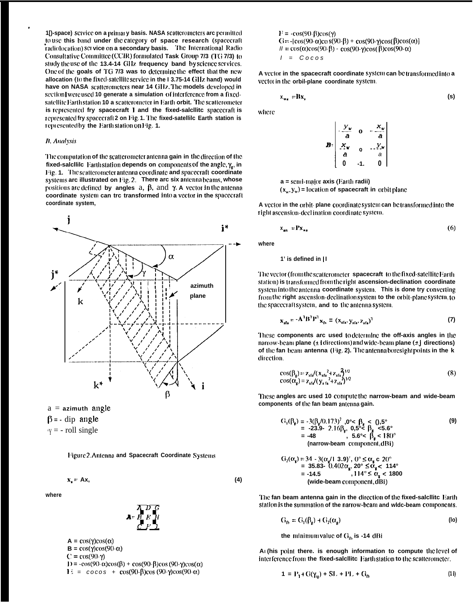1[]-space) service on a primary basis. NASA scatterometers are permitted to use this band under the category of space research (spacecraft radiolocation) set vice on a secondary basis. The International Radio Consultative Committee (CCIR) formulated Task Group 7/3 (TG 7/3) to study the use of the 13.4-14 GHz frequency band by science services. One of the goals of TG 7/3 was to determine the effect that the new allocation (to the fixed-satellite service in the 13.75-14 GHz hand) would have on NASA scatterometers near 14 GHz. The models developed in section were used 10 generate a simulation of interference from a fixedsatellite Earth station 10 a scatterometer in Earth orbit. The scatterometer is represented fry spacecraft 1 and the fixed-salcllite spacecraft is represented fry spacecraft 2 on Fig. 1. The fixed-satellile Earth station is represented by the Earth station on Fig. 1.

# **B.** Analysis

The computation of the scatterometer antenna gain in the direction of the fixed-salcllilc Earthstation depends on components of the angle,  $\gamma_e$ , in Fig. 1. The scatterometer antenna coordinate and spacecraft coordinate systems arc illustrated on Fig.2. There arc six antennabeams, whose positions are defined by angles  $a, \beta$ , and  $\gamma$ . A vector in the antenna coordinate system can trc transformed into a vector in the spacecraft coordinate system,



 $a =$  azimuth angle

 $\beta$  = - dip angle

 $y = -$  roll single

Figure 2. Antenna and Spacecraft Coordinate Systems

$$
x_s = Ax,
$$

where



 $A = \cos(\gamma)\cos(\alpha)$  $B = \cos(\gamma)\cos(90-\alpha)$  $C = cos(90-*y*)$ 1) =  $-\cos(90-\alpha)\cos(\beta) + \cos(90-\beta)\cos(90-\gamma)\cos(\alpha)$  $E = \cos \omega + \cos(90-\beta)\cos(90-\gamma)\cos(90-\alpha)$ 

 $F = -\cos(90-\beta)\cos(\gamma)$ G =  $-\left[\cos(90-\alpha)\cos(90-\beta) + \cos(90-\gamma)\cos(\beta)\cos(\alpha)\right]$  $II = \cos(\alpha)\cos(90-\beta) - \cos(90-\gamma)\cos(\beta)\cos(90-\alpha)$  $I = Cocos$ 

A vector in the spacecraft coordinate system can be transformed into a vector in the orbil-plane coordinate system.

$$
x_{w_1} = Bx, \tag{S}
$$

where

$$
B = \begin{bmatrix} \frac{y_w}{a} & 0 & -\frac{x_w}{a} \\ \frac{x_w}{a} & 0 & -\frac{y_w}{a} \\ a & 0 & a \\ 0 & -1 & 0 \end{bmatrix}
$$

 $a =$ semi-major axis (Earth radii)  $(x_w, y_w)$  = location of spacecraft in orbit plane

A vector in the orbit-plane coordinate system can be transformed into the right ascension-declination coordinate system.

$$
x_{an} = Px_{xa} \tag{6}
$$

where

 $(4)$ 

#### 1' is defined in ||

The vector (from the scatterometer spacecraft to the fixed-satellite Earth station) is transformed from the right ascension-declination coordinate system into the antenna coordinate system. This is done try converting from the right ascension-declination system to the orbit-plane system, to the spacecraft system, and to the antenna system.

$$
\mathbf{x}_{\text{sfa}} = \mathbf{A}^{\mathrm{T}} \mathbf{B}^{\mathrm{T}} \mathbf{P}^{\mathrm{T}} \mathbf{x}_{\text{sfs}} = (\mathbf{x}_{\text{sfa}} \mathbf{y}_{\text{sfa}} \mathbf{y}_{\text{sfa}} \mathbf{y}_{\text{sfa}})^{\mathrm{T}}
$$
(7)

These components arc used to determine the off-axis angles in the narrow-beam plane  $(\pm i$  directions) and wide-beam plane  $(\pm j$  directions) of the fan beam antenna (Fig. 2). The antenna boresight points in the k direction.

$$
cos(\beta_{g}) = z_{sta}/(x_{sta}^{2} + z_{sta}^{2})^{1/2}
$$
  
\n
$$
cos(\alpha_{s}) = z_{sta}/(y_{s}^{2} + z_{sta}^{2})^{1/2}
$$
\n(8)

These angles arc used 10 computethe narrow-beam and wide-beam components of the fan beam antenna gain.

$$
G_2(\alpha_g) = 34 - 3(\alpha_g/1 \ 3.9)^7, 0^\circ \le \alpha_g \le 20^\circ
$$
  
= 35.83- 0.402 $\alpha_g$ , 20°  $\le \alpha_g < 114^\circ$   
= -14.5 , 114°  $\le \alpha_g < 1800$   
(wide-beam component, dBi)

The fan beam antenna gain in the direction of the fixed-salcllite Earth station is the summation of the narrow-beam and widc-beam components.

$$
G_{\text{fb}} = G_1(\beta_g) + G_2(\alpha_g) \tag{10}
$$

the minimum value of  $G_b$  is -14 dBi

An (his point there, is enough information to compute the level of interference from the fixed-salcllite Earth station to the scatterometer.

$$
1 = P_1 + G(\gamma_{12}) + SL + PL + G_{12}
$$
 (1)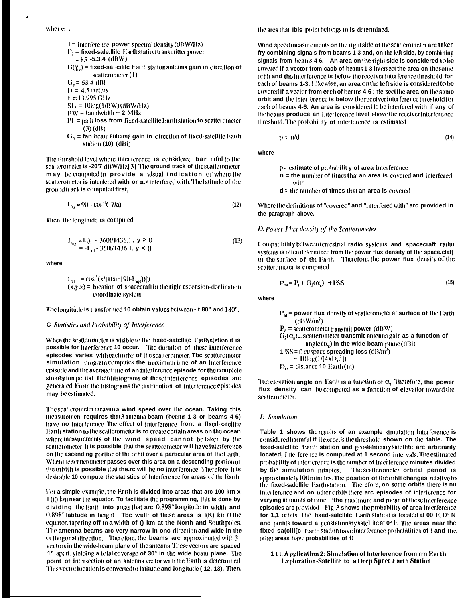1 = interference power spectral density (dBW/Hz)  
\n
$$
P_1
$$
 = fixed-scale. Illic Earth station transmitter power  
\n= 85 -5.3.4 (dBW)  
\n
$$
G(\gamma_{\alpha})
$$
 = fixed-sa-cillic Earth station antenna gain in direction of  
\nscatterometer (1)  
\n
$$
G_p
$$
 = 53.4 dBi

 $\sim 100$ 

 $I$  = 4.5 meters

 $f = 13.995$  GHz

 $SI = 10log(1/BW)(dBW/Hz)$ 

- $BW = bandwidth = 2 MHz$
- $\rm{PL}$  = path loss from fixed-satellite Earth station to scatterometer  $(3)$  (dB)
- $G_{\rm fb}$  = fan beam antenna gain in direction of fixed-satellite Earth station (10) (dBi)

The threshold level where interference is considered bar inful to the scatterometer is -20'7 dBW/Hz[3]. The ground track of the scatterometer may be computed to provide a visual indication of where the scatterometer is interfered with or not interfered with. The latitude of the ground track is computed first,

$$
L_{\text{age}} = 90 - \cos^{-1}(7/\text{a}) \tag{12}
$$

Then, the longitude is computed.

$$
\mathbf{I}_{\text{opt}} = \mathbf{I}_{\text{opt}} - 3600/1436.1, \mathbf{y} \ge 0
$$
\n
$$
= -\mathbf{I}_{\text{opt}} - 3600/1436.1, \mathbf{y} < 0
$$
\n(13)

where

$$
1_{\text{el}} = \cos^{-1}(x/\text{a}(\sin{90} \cdot \text{L}_{\text{opt}})))
$$
  
(x,y,z) = location of spacecraft in the right ascension-declination  
coordinate system

The longitude is transformed 10 obtain values between - t 80" and 180°.

## C Statistics and Probability of Interference

When the scatterometer is visible to the fixed-satelli(c Earth station it is possible for interference 10 occur. The duration of these interference episodes varies with each orbit of the scatterometer. Tbc scatterometer simulation program computes the maximum time of an interference episode and the average time of an interference episode for the complete simulation period. Then histograms of these interference episodes are generated. From the histograms the distribution of Interference episodes may be estimated.

The scatterometer measures wind speed over the ocean. Taking this measurement requires that 3 antenna beam (beams 1-3 or beams 4-6) have no interference. The effect of interference front a fixed-satellite Earth station to the scatterometer is to create certain areas on the ocean where measurements of the wind speed cannot be taken by the scatterometer. It is possible that the scatterometer will have interference on the ascending portion of the orbit over a particular area of the Earth. When the scatterometer passes over this area on a descending portion of the orbit it is possible that the rc will be no interference. Therefore, it is desirable 10 compute the statistics of interference for areas of the Earth.

For a simple example, the Earth is divided into areas that arc 100 km x 1 ()() km near the equator. To facilitate the programming, this is done by dividing the Earth into areas that are  $0.898^\circ$  longitude in width and  $0.898^\circ$  latitude in height. The width of these areas is  $I(K)$  km at the equator, tapering off to a width of () km at the North and Southpoles. The antenna beams arc very narrow in onc direction and wide in the orthogonal direction. Therefore, the beams arc approximated with 31 vectors in the wide-heam plane of the antenna. These vectors are spaced 1" apart, yielding a total coverage of 30° in the wide beam plane. The point of intersection of an antenna vector with the Earth is determined. This vector location is converted to latitude and longitude (12, 13). Then, the area that Ibis point belongs to is determined.

Wind speed measurements on the right side of the scatterometer arc taken fry combining signals from beams 1-3 and, on the left side, by combining signals from beams 4-6. An area on the right side is considered to be covered if a vector from cacb of beams 1-3 intersect the area on the same orbit and the interference is below the receiver interference threshold for each of beams 1-3. Likewise, an area on the left side is considered to be covered if a vector from each of beams 4-6 intersect the area on the same orbit and the interference is below the receiver interference threshold for each of beams 4-6. An area is considered to be interfered with if any of the beams produce an interference level above the receiver interference threshold. The probability of interference is estimated.

$$
p = n/d \tag{14}
$$

where

 $p =$  estimate of probability of area interference

- $n =$  the number of times that an area is covered and interfered with
- $d =$  the number of times that an area is covered

Where the definitions of "covered" and "interfered with" arc provided in the paragraph above.

# D. Power Flux density of the Scatterometer

Compatibility between terrestrial radio systems and spacecraft radio systems is often determined from the power flux density of the space.claf[ on the surface of the Earth. Therefore, the power flux density of the scatterometer is computed.

$$
\mathbf{P}_{1a} = \mathbf{P}_1 + \mathbf{G}_2(\alpha_a) + \text{FSS} \tag{15}
$$

where

 $P_{\text{fd}}$  = power flux density of scatterometer at surface of the Earth  $(dBW/m<sup>2</sup>)$  $P_1$  = scatterometer transmit power (dBW)  $G_2(\alpha_e)$  = scatterometer transmit antenna gain as a function of angle  $(\alpha_{\mathbf{r}})$  in the wide-beam plane (dBi) 1  $SS =$  fi ec space spreading loss (dB/m<sup>2</sup>) =  $10\log(1/(4\pi D_{\rm st}^2))$  $D_{sc}$  = distance 10 Earth (m)

The elevation angle on Earth is a function of  $\alpha_g$ . Therefore, the power flux density can be computed as a function of elevation toward the scatterometer.

#### E. Simulation

Table 1 shows the results of an example simulation Interference is considered harmful if it exceeds the threshold shown on the table. The fixed-salcllite Earth station and geostationary satellite arc arbitrarily located, Interference is computed at 1 second intervals. The estimated probability of interference is the number of interference minutes divided by the simulation minutes. The scatterometer orbital period is approximately 100 minutes. The position of the orbit changes relative to the fixed-salcllile Earthstation. Therefore, on some orbits there is no interference and on other orbits there are episodes of interference for varying amounts of time. 'the maximum and mean of these interference episodes arc provided. Fig. 3 shows the probability of area interference for 1,1 orbits. The fixed-salcllile Earth station is located al 00  $E$ ,  $0^\circ$  N and points toward a geostationary satellite at 0° E. The areas near the fixed-sa(clli[c Earth station have interference probabilities of 1 and the other areas have probabilities of 0.

1 t t, Application 2: Simulation of Interference from rrn Earth **Exploration-Satellite to a Deep Space Earth Station**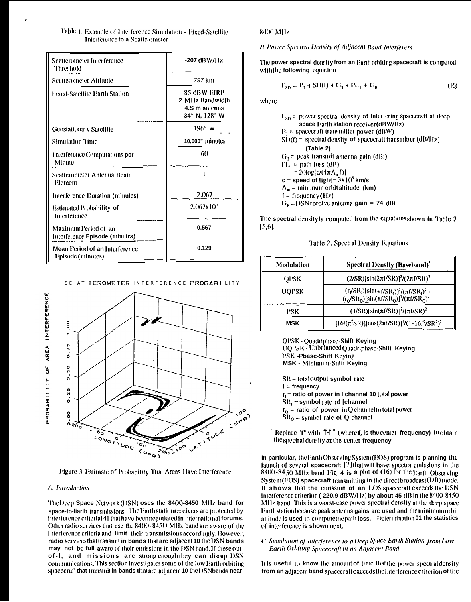| Table 1, Example of Interference Simulation - Fixed-Satellite |  |
|---------------------------------------------------------------|--|
| Interference to a Scatterometer                               |  |

| Scatterometer Interference<br>Threshold<br><b>Scatterometer Altitude</b> | -207 dBW/Hz<br>797 km                                            |  |  |
|--------------------------------------------------------------------------|------------------------------------------------------------------|--|--|
| Fixed-Satellite Earth Station                                            | 85 dBW EIRP<br>2 MHz Bandwidth<br>4.S m antenna<br>34° N, 128° W |  |  |
| <b>Geostationary Satellite</b>                                           | $196^\circ$ w                                                    |  |  |
| Simulation Time                                                          | 10,000" minutes                                                  |  |  |
| Interference Computations per<br>Minute                                  | 60                                                               |  |  |
| <b>Scatterometer Antenna Beam</b><br>Element                             |                                                                  |  |  |
| Interference Duration (minutes)                                          | 2.067                                                            |  |  |
| Estimated Probability of<br>Interference                                 | $2.067 \times 10^{-4}$                                           |  |  |
| Maximum Period of an<br>Interference Episode (minutes)                   | 0.567                                                            |  |  |
| Mean Period of an Interference<br>Episode (minutes)                      | 0.129                                                            |  |  |

SC AT TEROMETER INTERFERENCE PROBABILITY



Figure 3. Estimate of Probability That Areas Have Interference

### A. Introduction

The Deep Space Network (DSN) oscs the 84(X)-8450 MHz band for space-to-liarlb transmissions. The Earth station receivers are protected by interference criterial 4] that have been negotiated in international forums, Other radio services that use the 8400 - 8450 MHz band are aware of the interference criteria and limit their transmissions accordingly. However, radio services that transmit in bands that arc adjacent 10 the DSN bands may not be full aware of their emissions in the DSN band. If these outof-1, and missions arc strong enough they can disrupt DSN communications. This section investigates some of the low Earth orbiting spacecraft that transmit in bands thatare adjacent 10 the DSNbands near

#### 8400 MHz

### **B. Power Spectral Density of Adjacent Band Interferers**

The power spectral density from an Earth orbiting spacecraft is computed with the following equation:

$$
P_{SD} = P_1 + SD(f) + G_1 + PL_1 + G_R
$$
 (16)

where

| $P_{SD}$ = power spectral density of interfering spacecraft at deep |
|---------------------------------------------------------------------|
| space Earth station receiver (dBW/Hz)                               |
| $P_1$ = spacecraft transmitter power (dBW)                          |
| $\text{SD}(f)$ = spectral density of spacecraft transmitter (dB/Hz) |
| (Table 2)                                                           |
| $G_1$ = peak transmit antenna gain (dBi)                            |
| $PL1 = path loss (dB)$                                              |
| $= 20 log(c/(4πΛμ f))$                                              |
| c = speed of light = $3x10^5$ km/s                                  |
| $A_m$ = minimum orbit altitude (km)                                 |
| $f = f$ frequency $(11z)$                                           |
| $G_p =$ DSN receive antenna gain = 74 dBi                           |
|                                                                     |

The spectral density is computed from the equations shown in Table 2  $[5,6]$ .

Table 2. Spectral Density Equations

| Modulation  | <b>Spectral Density (Baseband)'</b>                                                                                                                                                                                                                                                   |
|-------------|---------------------------------------------------------------------------------------------------------------------------------------------------------------------------------------------------------------------------------------------------------------------------------------|
| <b>OPSK</b> | $(2/SR)[sin(2\pi f/SR)]^2/(2\pi f/SR)^2$                                                                                                                                                                                                                                              |
| UQPSK       | $\frac{(\mathsf{r}_\mathsf{f}/\mathsf{SR}_\mathsf{I})[\sin(\pi\mathsf{f}/\mathsf{SR}_\mathsf{I})]^2/(\pi\mathsf{f}/\mathsf{SR}_\mathsf{I})^2}{(\mathsf{r}_\mathsf{Q}/\mathsf{SR}_\mathsf{Q})[\sin(\pi\mathsf{f}/\mathsf{SR}_\mathsf{Q})]^2/(\pi\mathsf{f}/\mathsf{SR}_\mathsf{Q})^2}$ |
| PSK         | $(1/SR)[\sin(\pi t/SR)]^2/(\pi t/SR)^2$                                                                                                                                                                                                                                               |
| <b>MSK</b>  | $[16/(\pi^2 SR)][\cos(2\pi f/SR)]^2/(1-16f^2/SR^2)^2$                                                                                                                                                                                                                                 |

**QPSK-Quadriphase-Shift Keying** UQPSK - Unbalanced Quadriphase-Shift Keying PSK-Pbasc-Shift Keying MSK - Minimum-Shift Keying

 $SR = total$  output symbol rate  $f = frequency$  $r_1$  = ratio of power in I channel 10 total power  $SR_1$  = symbol rate of [channel  $r_Q$  = ratio of power in Q channel to total power  $\rm SR_{\rm o}$  = symbol rate of Q channel

' Replace " $\Gamma$ " with "f-f," (where f, is the center frequency) to obtain the spectral density at the center frequency

In particular, the Earth Observing System (EOS) program Is planning the launch of several spacecraft [7] that will have spectral emissions in the  $8400 - 8450$  MHz band Fig. 4 is a plot of (16) for the Earth Observing System (EOS) spacecraft transmitting in the direct broadcast (DB) mode. It shows that the emission of an EOS spacecraft exceeds the DSN interference criterion (-220.9 dBW/Hz) by about 45 dB in the 8400-8450 MHz band. This is a worst-case power spectral density at the deep space Earthstation because peak antenna gains arc used and the minimum orbit altitude is used to compute the path loss. Determination 01 the statistics of interference is shown next.

# C. Simulation of Interference to a Deep Space Earth Station from Low Earth Orbiting Spacecraft in an Adjacent Band

It is useful to know the amount of time that the power spectral density from an adjacent band spacecraft exceeds the interference criterion of the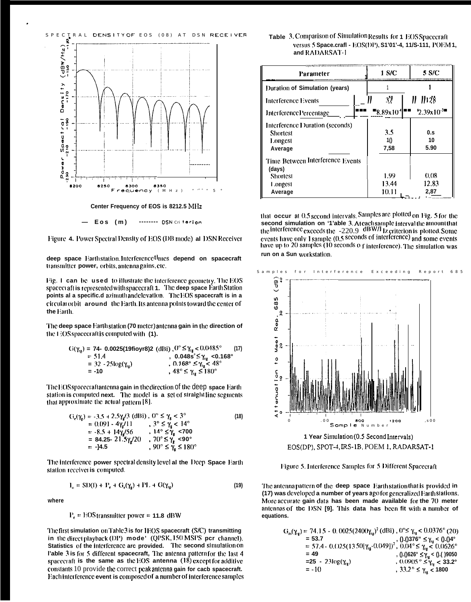





------- DSN criterion

 $Eos$  (m)

deep space Earth station. Interferencetimes depend on spacecraft transmitter power, orbits, antenna gains, etc.

Fig. 1 can be used to illustrate the interference geometry. The EOS spacecraft is represented with spacecraft 1. The deep space Earth Station points al a specific.d azimuthandelevation. The EOS spacecraft is in a circular orbit around the Earth. Its antenna points toward the center of the Earth.

The deep space Earthstation (70 meter) antenna gain in the direction of the EOS spacecraft is computed with (1).

$$
G(\gamma_{r_R}) = 74 - 0.0025(19fioyr8)2 (dBi) , 0^\circ \le \gamma_{r_R} < 0.0485^\circ
$$
 (17)  
= 51.4 , 0.0485° ≤  $\gamma_{r_R}$  <0.168°  
= 32 - 25log( $\gamma_{r_R}$ ) , 0.168° ≤  $\gamma_{r_R} < 48^\circ$   
= -10 , 48° ≤  $\gamma_{r_R} \le 180^\circ$ 

The EOS spacecraft antenna gain in the direction of the deep space Earth station is computed next. The model is a set of straight line segments that approximate the actual pattern [8].

$$
G_{\epsilon}(\gamma_{\epsilon}) = -3.5 + 2.5\gamma_{\epsilon}/3 \text{ (dBi)}, 0^{\circ} \le \gamma_{\epsilon} < 3^{\circ}
$$
  
= 0.091 - 4\gamma\_{\epsilon}/11 , 3^{\circ} \le \gamma\_{\epsilon} < 14^{\circ}  
= -8.5 + 14\gamma\_{\epsilon}/56 , 14^{\circ} \le \gamma\_{\epsilon} < 700  
= 84.25 - 21.5\gamma\_{\epsilon}/20 , 70^{\circ} \le \gamma\_{\epsilon} < 90^{\circ}  
= -14.5 , 90^{\circ} \le \gamma\_{\epsilon} \le 180^{\circ}

The interference power spectral density level at the Deep Space Earth station receiver is computed.

$$
\mathbf{I}_o = \text{SD}(\mathbf{f}) + \mathbf{P}_e + \mathbf{G}_e(\gamma_e) + \mathbf{P}\mathbf{L} + \mathbf{G}(\gamma_{ig}) \tag{19}
$$

where

 $P_e = EOS$  transmitter power = 11.8 dBW

The first simulation on Table 3 is for IEOS spacecraft (S/C) transmitting in the direct playback (DP) mode' (QPSK, 150 MSPS pcr channel). Statistics of the interference arc provided. The second simulation on l'able 3 is for 5 different spacecraft, The antenna pattern for the last 4 spacecraft is the same as the EOS antenna  $(18)$  except for additive constants 10 provide the correct peak antenna gain for cacb spacecraft. Each interference event is composed of a number of interference samples

# Table 3. Comparison of Simulation Results for 1 EOS Spacecraft versus 5 Space.crafl - EOS(DP), S1'01'-4, 11/S-111, POEM 1, and RADARSAT-1

| Parameter                                                                           |  | 1 S/C                  | 5 S/C                 |
|-------------------------------------------------------------------------------------|--|------------------------|-----------------------|
| Duration of Simulation (years)                                                      |  |                        |                       |
| <b>Interference Events</b>                                                          |  | 37                     | $  ^{128}$            |
| Interference Percentage                                                             |  | "8.89x10               | $2.39x10^{-3}$        |
| Interference Duration (seconds)<br>Shortest<br>Longest<br>Average                   |  | 3.5<br>1()<br>7,58     | 0.s<br>10<br>5.90     |
| Time Between Interference Events<br>(days)<br><b>Shortest</b><br>Longest<br>Average |  | 1.99<br>13.44<br>10.11 | 0.08<br>12.83<br>2,87 |

that occur at 0.5 second intervals. Samples are plotted on Fig. 5 for the second simulation on '1'able 3. At cach sample interval the amount that second simulation on "Trable 3. Areach sample intervaring amount unat<br>the interference exceeds the  $-220.9$  dBW/I iz criterion is plotted. Some<br>events have only 1 sample (0.5 seconds of interference) and some events<br>have run on a Sun workstation.



1 Year Simulation (0.5 Second Intervals) EOS(DP), SPOT-4, IRS-1B, POEM 1, RADARSAT-1

Figure 5. Interference Samples for 5 Different Spacecraft

The antenna pattern of the deep space Earth station that is provided in (17) was developed a number of years ago for generalized Earth stations. More accurate gain data has been made available for the 70 meter antennas of the DSN [9]. This data has been fit with a number of equations.

| $G_{n}(\gamma_{\text{re}})$ = 74.15 - 0.0025(2400 $\gamma_{\text{re}}$ ) <sup>2</sup> (dBi), $0^{\circ}$ $\leq \gamma_{\text{re}}$ < 0.0376° (20) |                                                                                                                                                                                                              |
|---------------------------------------------------------------------------------------------------------------------------------------------------|--------------------------------------------------------------------------------------------------------------------------------------------------------------------------------------------------------------|
|                                                                                                                                                   |                                                                                                                                                                                                              |
|                                                                                                                                                   | = 53.7<br>= 57.4 - 0.(125(13.50[γ <sub>ιε</sub> -0.049]) <sup>2</sup> , 0.04° ≤ γ <sub>ιε</sub> < 0.0626°<br>= 57.4 - 0.(125(13.50[γ <sub>ιε</sub> -0.049]) <sup>2</sup> , 0.04° ≤ γ <sub>ιε</sub> < 0.0626° |
| $= 49$                                                                                                                                            | , () ()626° $\leq \gamma_{rs} <$ () ()9050                                                                                                                                                                   |
| =25 - 23log(γ <sub>ω</sub> )                                                                                                                      | , $0.0905^\circ \leq \gamma_{\rm re} < 33.2^\circ$                                                                                                                                                           |
| $= -10$                                                                                                                                           | , 33.2° ≤ γ <sub>ω</sub> < 1800                                                                                                                                                                              |